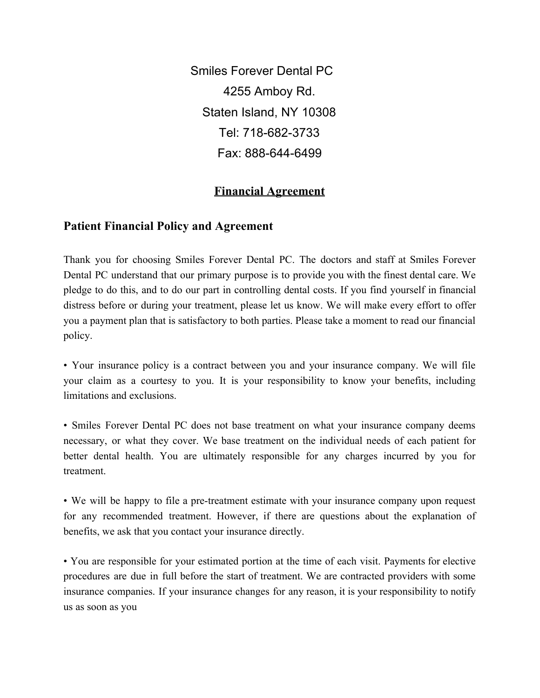Smiles Forever Dental PC 4255 Amboy Rd. Staten Island, NY 10308 Tel: 718-682-3733 Fax: 888-644-6499

## **Financial Agreement**

## **Patient Financial Policy and Agreement**

Thank you for choosing Smiles Forever Dental PC. The doctors and staff at Smiles Forever Dental PC understand that our primary purpose is to provide you with the finest dental care. We pledge to do this, and to do our part in controlling dental costs. If you find yourself in financial distress before or during your treatment, please let us know. We will make every effort to offer you a payment plan that is satisfactory to both parties. Please take a moment to read our financial policy.

• Your insurance policy is a contract between you and your insurance company. We will file your claim as a courtesy to you. It is your responsibility to know your benefits, including limitations and exclusions.

• Smiles Forever Dental PC does not base treatment on what your insurance company deems necessary, or what they cover. We base treatment on the individual needs of each patient for better dental health. You are ultimately responsible for any charges incurred by you for treatment.

• We will be happy to file a pre-treatment estimate with your insurance company upon request for any recommended treatment. However, if there are questions about the explanation of benefits, we ask that you contact your insurance directly.

• You are responsible for your estimated portion at the time of each visit. Payments for elective procedures are due in full before the start of treatment. We are contracted providers with some insurance companies. If your insurance changes for any reason, it is your responsibility to notify us as soon as you